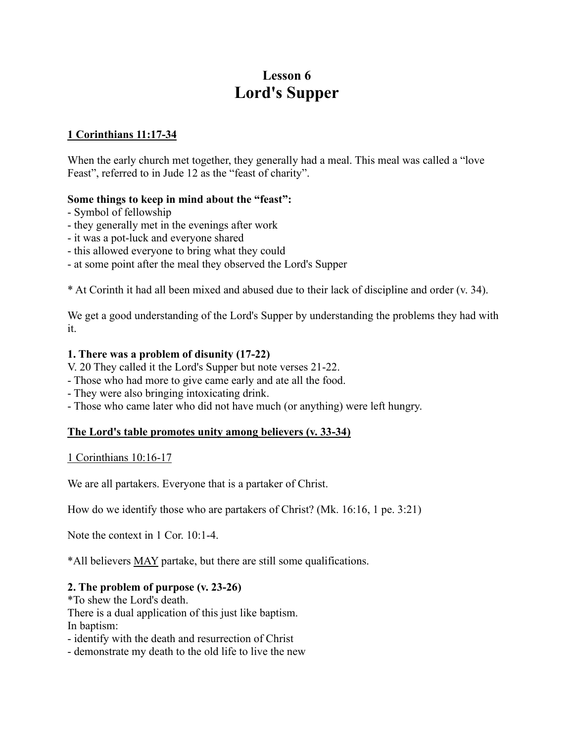# **Lesson 6 Lord's Supper**

## **1 Corinthians 11:17-34**

When the early church met together, they generally had a meal. This meal was called a "love Feast", referred to in Jude 12 as the "feast of charity".

## **Some things to keep in mind about the "feast":**

- Symbol of fellowship
- they generally met in the evenings after work
- it was a pot-luck and everyone shared
- this allowed everyone to bring what they could
- at some point after the meal they observed the Lord's Supper

\* At Corinth it had all been mixed and abused due to their lack of discipline and order (v. 34).

We get a good understanding of the Lord's Supper by understanding the problems they had with it.

### **1. There was a problem of disunity (17-22)**

- V. 20 They called it the Lord's Supper but note verses 21-22.
- Those who had more to give came early and ate all the food.
- They were also bringing intoxicating drink.
- Those who came later who did not have much (or anything) were left hungry.

#### **The Lord's table promotes unity among believers (v. 33-34)**

1 Corinthians 10:16-17

We are all partakers. Everyone that is a partaker of Christ.

How do we identify those who are partakers of Christ? (Mk. 16:16, 1 pe. 3:21)

Note the context in 1 Cor. 10:1-4.

\*All believers MAY partake, but there are still some qualifications.

## **2. The problem of purpose (v. 23-26)**

\*To shew the Lord's death. There is a dual application of this just like baptism. In baptism:

- identify with the death and resurrection of Christ

- demonstrate my death to the old life to live the new